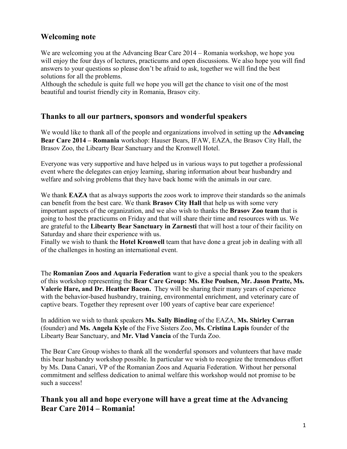# **Welcoming note**

We are welcoming you at the Advancing Bear Care 2014 – Romania workshop, we hope you will enjoy the four days of lectures, practicums and open discussions. We also hope you will find answers to your questions so please don't be afraid to ask, together we will find the best solutions for all the problems.

Although the schedule is quite full we hope you will get the chance to visit one of the most beautiful and tourist friendly city in Romania, Brasov city.

## **Thanks to all our partners, sponsors and wonderful speakers**

We would like to thank all of the people and organizations involved in setting up the **Advancing Bear Care 2014 – Romania** workshop: Hauser Bears, IFAW, EAZA, the Brasov City Hall, the Brasov Zoo, the Libearty Bear Sanctuary and the Kronwell Hotel.

Everyone was very supportive and have helped us in various ways to put together a professional event where the delegates can enjoy learning, sharing information about bear husbandry and welfare and solving problems that they have back home with the animals in our care.

We thank **EAZA** that as always supports the zoos work to improve their standards so the animals can benefit from the best care. We thank **Brasov City Hall** that help us with some very important aspects of the organization, and we also wish to thanks the **Brasov Zoo team** that is going to host the practicums on Friday and that will share their time and resources with us. We are grateful to the **Libearty Bear Sanctuary in Zarnesti** that will host a tour of their facility on Saturday and share their experience with us.

Finally we wish to thank the **Hotel Kronwell** team that have done a great job in dealing with all of the challenges in hosting an international event.

The **Romanian Zoos and Aquaria Federation** want to give a special thank you to the speakers of this workshop representing the **Bear Care Group: Ms. Else Poulsen, Mr. Jason Pratte, Ms. Valerie Hare, and Dr. Heather Bacon.** They will be sharing their many years of experience with the behavior-based husbandry, training, environmental enrichment, and veterinary care of captive bears. Together they represent over 100 years of captive bear care experience!

In addition we wish to thank speakers **Ms. Sally Binding** of the EAZA, **Ms. Shirley Curran** (founder) and **Ms. Angela Kyle** of the Five Sisters Zoo, **Ms. Cristina Lapis** founder of the Libearty Bear Sanctuary, and **Mr. Vlad Vancia** of the Turda Zoo.

The Bear Care Group wishes to thank all the wonderful sponsors and volunteers that have made this bear husbandry workshop possible. In particular we wish to recognize the tremendous effort by Ms. Dana Canari, VP of the Romanian Zoos and Aquaria Federation. Without her personal commitment and selfless dedication to animal welfare this workshop would not promise to be such a success!

**Thank you all and hope everyone will have a great time at the Advancing Bear Care 2014 – Romania!**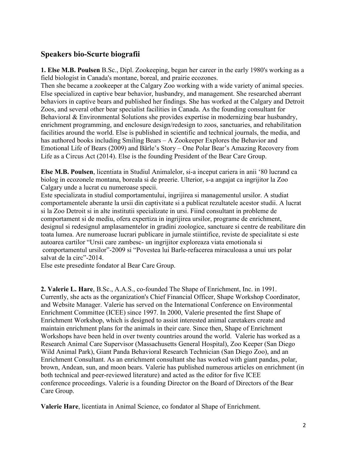# **Speakers bio-Scurte biografii**

**1. Else M.B. Poulsen** B.Sc., Dipl. Zookeeping, began her career in the early 1980's working as a field biologist in Canada's montane, boreal, and prairie ecozones.

Then she became a zookeeper at the Calgary Zoo working with a wide variety of animal species. Else specialized in captive bear behavior, husbandry, and management. She researched aberrant behaviors in captive bears and published her findings. She has worked at the Calgary and Detroit Zoos, and several other bear specialist facilities in Canada. As the founding consultant for Behavioral & Environmental Solutions she provides expertise in modernizing bear husbandry, enrichment programming, and enclosure design/redesign to zoos, sanctuaries, and rehabilitation facilities around the world. Else is published in scientific and technical journals, the media, and has authored books including Smiling Bears – A Zookeeper Explores the Behavior and Emotional Life of Bears (2009) and Bärle's Story – One Polar Bear's Amazing Recovery from Life as a Circus Act (2014). Else is the founding President of the Bear Care Group.

**Else M.B. Poulsen**, licentiata in Studiul Animalelor, si-a inceput cariera in anii '80 lucrand ca biolog in ecozonele montana, boreala si de preerie. Ulterior, s-a angajat ca ingrijitor la Zoo Calgary unde a lucrat cu numeroase specii.

Este specializata in studiul comportamentului, ingrijirea si managementul ursilor. A studiat comportamentele aberante la ursii din captivitate si a publicat rezultatele acestor studii. A lucrat si la Zoo Detroit si in alte institutii specializate in ursi. Fiind consultant in probleme de comportament si de mediu, ofera expertiza in ingrijirea ursilor, programe de enrichment, designul si redesignul amplasamentelor in gradini zoologice, sanctuare si centre de reabilitare din toata lumea. Are numeroase lucrari publicare in jurnale stiintifice, reviste de specialitate si este autoarea cartilor "Ursii care zambesc- un ingrijitor exploreaza viata emotionala si comportamentul ursilor"-2009 si "Povestea lui Barle-refacerea miraculoasa a unui urs polar salvat de la circ"-2014.

Else este presedinte fondator al Bear Care Group.

**2. Valerie L. Hare**, B.Sc., A.A.S., co-founded The Shape of Enrichment, Inc. in 1991. Currently, she acts as the organization's Chief Financial Officer, Shape Workshop Coordinator, and Website Manager. Valerie has served on the International Conference on Environmental Enrichment Committee (ICEE) since 1997. In 2000, Valerie presented the first Shape of Enrichment Workshop, which is designed to assist interested animal caretakers create and maintain enrichment plans for the animals in their care. Since then, Shape of Enrichment Workshops have been held in over twenty countries around the world. Valerie has worked as a Research Animal Care Supervisor (Massachusetts General Hospital), Zoo Keeper (San Diego Wild Animal Park), Giant Panda Behavioral Research Technician (San Diego Zoo), and an Enrichment Consultant. As an enrichment consultant she has worked with giant pandas, polar, brown, Andean, sun, and moon bears. Valerie has published numerous articles on enrichment (in both technical and peer-reviewed literature) and acted as the editor for five ICEE conference proceedings. Valerie is a founding Director on the Board of Directors of the Bear Care Group.

**Valerie Hare**, licentiata in Animal Science, co fondator al Shape of Enrichment.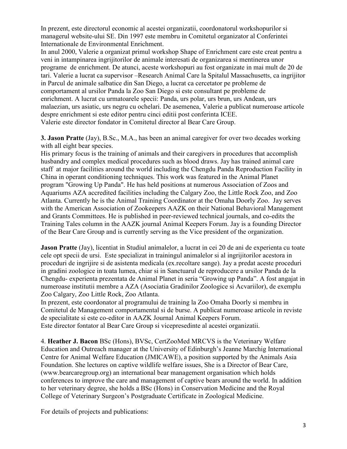In prezent, este directorul economic al acestei organizatii, coordonatorul workshopurilor si managerul website-ului SE. Din 1997 este membru in Comitetul organizator al Conferintei Internationale de Environmental Enrichment.

In anul 2000, Valerie a organizat primul workshop Shape of Enrichment care este creat pentru a veni in intampinarea ingrijitorilor de animale interesati de organizarea si mentinerea unor programe de enrichment. De atunci, aceste workshopuri au fost organizate in mai mult de 20 de tari. Valerie a lucrat ca supervisor –Research Animal Care la Spitalul Massachusetts, ca ingrijitor in Parcul de animale salbatice din San Diego, a lucrat ca cercetator pe probleme de comportament al ursilor Panda la Zoo San Diego si este consultant pe probleme de enrichment. A lucrat cu urmatoarele specii: Panda, urs polar, urs brun, urs Andean, urs malaezian, urs asiatic, urs negru cu ochelari. De asemenea, Valerie a publicat numeroase articole despre enrichment si este editor pentru cinci editii post conferinta ICEE. Valerie este director fondator in Comitetul director al Bear Care Group.

**3. Jason Pratte** (Jay), B.Sc., M.A., has been an animal caregiver for over two decades working with all eight bear species.

His primary focus is the training of animals and their caregivers in procedures that accomplish husbandry and complex medical procedures such as blood draws. Jay has trained animal care staff at major facilities around the world including the Chengdu Panda Reproduction Facility in China in operant conditioning techniques. This work was featured in the Animal Planet program "Growing Up Panda". He has held positions at numerous Association of Zoos and Aquariums AZA accredited facilities including the Calgary Zoo, the Little Rock Zoo, and Zoo Atlanta. Currently he is the Animal Training Coordinator at the Omaha Doorly Zoo. Jay serves with the American Association of Zookeepers AAZK on their National Behavioral Management and Grants Committees. He is published in peer-reviewed technical journals, and co-edits the Training Tales column in the AAZK journal Animal Keepers Forum. Jay is a founding Director of the Bear Care Group and is currently serving as the Vice president of the organization.

**Jason Pratte** (Jay), licentiat in Studiul animalelor, a lucrat in cei 20 de ani de experienta cu toate cele opt specii de ursi. Este specializat in trainingul animalelor si al ingrijitorilor acestora in proceduri de ingrijire si de asistenta medicala (ex.recoltare sange). Jay a predat aceste proceduri in gradini zoologice in toata lumea, chiar si in Sanctuarul de reproducere a ursilor Panda de la Chengdu- experienta prezentata de Animal Planet in seria "Growing up Panda". A fost angajat in numeroase institutii membre a AZA (Asociatia Gradinilor Zoologice si Acvariilor), de exemplu Zoo Calgary, Zoo Little Rock, Zoo Atlanta.

In prezent, este coordonator al programului de training la Zoo Omaha Doorly si membru in Comitetul de Management comportamental si de burse. A publicat numeroase articole in reviste de specialitate si este co-editor in AAZK Journal Animal Keepers Forum. Este director fontator al Bear Care Group si vicepresedinte al acestei organizatii.

4. **Heather J. Bacon** BSc (Hons), BVSc, CertZooMed MRCVS is the Veterinary Welfare Education and Outreach manager at the University of Edinburgh's Jeanne Marchig International Centre for Animal Welfare Education (JMICAWE), a position supported by the Animals Asia Foundation. She lectures on captive wildlife welfare issues, She is a Director of Bear Care, (www.bearcaregroup.org) an international bear management organisation which holds conferences to improve the care and management of captive bears around the world. In addition to her veterinary degree, she holds a BSc (Hons) in Conservation Medicine and the Royal College of Veterinary Surgeon's Postgraduate Certificate in Zoological Medicine.

For details of projects and publications: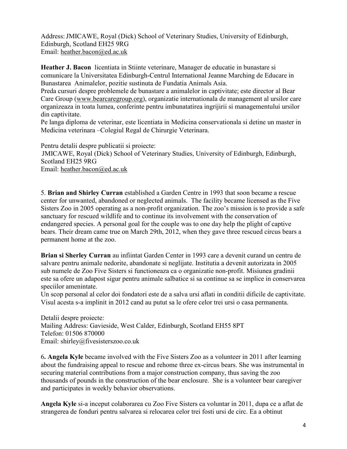Address:JMICAWE, Royal (Dick) School of Veterinary Studies, University of Edinburgh, Edinburgh, Scotland EH25 9RG Email: [heather.bacon@ed.ac.uk](mailto:heather.bacon@ed.ac.uk)

**Heather J. Bacon** licentiata in Stiinte veterinare, Manager de educatie in bunastare si comunicare la Universitatea Edinburgh-Centrul International Jeanne Marching de Educare in Bunastarea Animalelor, pozitie sustinuta de Fundatia Animals Asia.

Preda cursuri despre problemele de bunastare a animalelor in captivitate; este director al Bear Care Group [\(www.bearcaregroup.org\)](http://www.bearcaregroup.org/), organizatie internationala de management al ursilor care organizeaza in toata lumea, conferinte pentru imbunatatirea ingrijirii si managementului ursilor din captivitate.

Pe langa diploma de veterinar, este licentiata in Medicina conservationala si detine un master in Medicina veterinara –Colegiul Regal de Chirurgie Veterinara.

Pentru detalii despre publicatii si proiecte: JMICAWE, Royal (Dick) School of Veterinary Studies, University of Edinburgh, Edinburgh, Scotland EH25 9RG Email: [heather.bacon@ed.ac.uk](mailto:heather.bacon@ed.ac.uk)

5. **Brian and Shirley Curran** established a Garden Centre in 1993 that soon became a rescue center for unwanted, abandoned or neglected animals. The facility became licensed as the Five Sisters Zoo in 2005 operating as a non-profit organization. The zoo's mission is to provide a safe sanctuary for rescued wildlife and to continue its involvement with the conservation of endangered species. A personal goal for the couple was to one day help the plight of captive bears. Their dream came true on March 29th, 2012, when they gave three rescued circus bears a permanent home at the zoo.

**Brian si Sherley Curran** au infiintat Garden Center in 1993 care a devenit curand un centru de salvare pentru animale nedorite, abandonate si neglijate. Institutia a devenit autorizata in 2005 sub numele de Zoo Five Sisters si functioneaza ca o organizatie non-profit. Misiunea gradinii este sa ofere un adapost sigur pentru animale salbatice si sa continue sa se implice in conservarea speciilor amenintate.

Un scop personal al celor doi fondatori este de a salva ursi aflati in conditii dificile de captivitate. Visul acesta s-a implinit in 2012 cand au putut sa le ofere celor trei ursi o casa permanenta.

Detalii despre proiecte: Mailing Address: Gavieside, West Calder, Edinburgh, Scotland EH55 8PT Telefon: 01506 870000 Email: shirley@fivesisterszoo.co.uk

6**. Angela Kyle** became involved with the Five Sisters Zoo as a volunteer in 2011 after learning about the fundraising appeal to rescue and rehome three ex-circus bears. She was instrumental in securing material contributions from a major construction company, thus saving the zoo thousands of pounds in the construction of the bear enclosure. She is a volunteer bear caregiver and participates in weekly behavior observations.

**Angela Kyle** si-a inceput colaborarea cu Zoo Five Sisters ca voluntar in 2011, dupa ce a aflat de strangerea de fonduri pentru salvarea si relocarea celor trei fosti ursi de circ. Ea a obtinut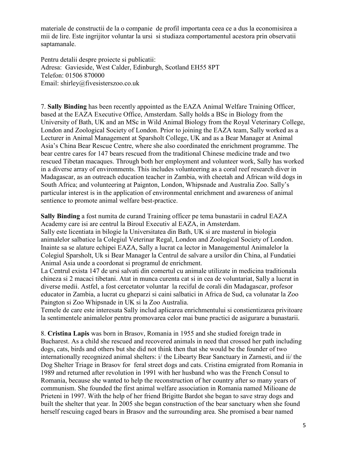materiale de constructii de la o companie de profil importanta ceea ce a dus la economisirea a mii de lire. Este ingrijitor voluntar la ursi si studiaza comportamentul acestora prin observatii saptamanale.

Pentru detalii despre proiecte si publicatii: Adresa: Gavieside, West Calder, Edinburgh, Scotland EH55 8PT Telefon: 01506 870000 Email: shirley@fivesisterszoo.co.uk

7. **Sally Binding** has been recently appointed as the EAZA Animal Welfare Training Officer, based at the EAZA Executive Office, Amsterdam. Sally holds a BSc in Biology from the University of Bath, UK and an MSc in Wild Animal Biology from the Royal Veterinary College, London and Zoological Society of London. Prior to joining the EAZA team, Sally worked as a Lecturer in Animal Management at Sparsholt College, UK and as a Bear Manager at Animal Asia's China Bear Rescue Centre, where she also coordinated the enrichment programme. The bear centre cares for 147 bears rescued from the traditional Chinese medicine trade and two rescued Tibetan macaques. Through both her employment and volunteer work, Sally has worked in a diverse array of environments. This includes volunteering as a coral reef research diver in Madagascar, as an outreach education teacher in Zambia, with cheetah and African wild dogs in South Africa; and volunteering at Paignton, London, Whipsnade and Australia Zoo. Sally's particular interest is in the application of environmental enrichment and awareness of animal sentience to promote animal welfare best-practice.

**Sally Binding** a fost numita de curand Training officer pe tema bunastarii in cadrul EAZA Academy care isi are centrul la Biroul Executiv al EAZA, in Amsterdam. Sally este licentiata in bilogie la Universitatea din Bath, UK si are masterul in biologia animalelor salbatice la Colegiul Veterinar Regal, London and Zoological Society of London. Inainte sa se alature echipei EAZA, Sally a lucrat ca lector in Managementul Animalelor la Colegiul Sparsholt, Uk si Bear Manager la Centrul de salvare a ursilor din China, al Fundatiei Animal Asia unde a coordonat si programul de enrichment.

La Centrul exista 147 de ursi salvati din comertul cu animale utilizate in medicina traditionala chineza si 2 macaci tibetani. Atat in munca curenta cat si in cea de voluntariat, Sally a lucrat in diverse medii. Astfel, a fost cercetator voluntar la reciful de corali din Madagascar, profesor educator in Zambia, a lucrat cu gheparzi si caini salbatici in Africa de Sud, ca volunatar la Zoo Paington si Zoo Whipsnade in UK si la Zoo Australia.

Temele de care este interesata Sally includ aplicarea enrichmentului si constientizarea privitoare la sentimentele animalelor pentru promovarea celor mai bune practici de asigurare a bunastarii.

8. **Cristina Lapis** was born in Brasov, Romania in 1955 and she studied foreign trade in Bucharest. As a child she rescued and recovered animals in need that crossed her path including dogs, cats, birds and others but she did not think then that she would be the founder of two internationally recognized animal shelters: i/ the Libearty Bear Sanctuary in Zarnesti, and ii/ the Dog Shelter Triage in Brasov for feral street dogs and cats. Cristina emigrated from Romania in 1989 and returned after revolution in 1991 with her husband who was the French Consul to Romania, because she wanted to help the reconstruction of her country after so many years of communism. She founded the first animal welfare association in Romania named Milioane de Prieteni in 1997. With the help of her friend Brigitte Bardot she began to save stray dogs and built the shelter that year. In 2005 she began construction of the bear sanctuary when she found herself rescuing caged bears in Brasov and the surrounding area. She promised a bear named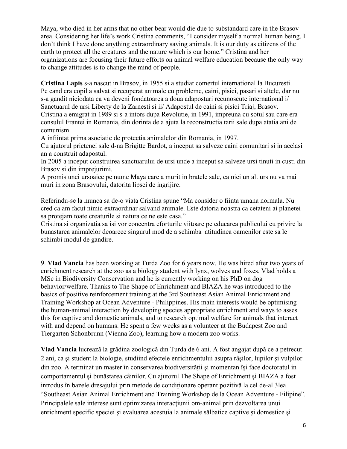Maya, who died in her arms that no other bear would die due to substandard care in the Brasov area. Considering her life's work Cristina comments, "I consider myself a normal human being. I don't think I have done anything extraordinary saving animals. It is our duty as citizens of the earth to protect all the creatures and the nature which is our home." Cristina and her organizations are focusing their future efforts on animal welfare education because the only way to change attitudes is to change the mind of people.

**Cristina Lapis** s-a nascut in Brasov, in 1955 si a studiat comertul international la Bucuresti. Pe cand era copil a salvat si recuperat animale cu probleme, caini, pisici, pasari si altele, dar nu s-a gandit niciodata ca va deveni fondatoarea a doua adaposturi recunoscute international i/ Sanctuarul de ursi Liberty de la Zarnesti si ii/ Adapostul de caini si pisici Triaj, Brasov. Cristina a emigrat in 1989 si s-a intors dupa Revolutie, in 1991, impreuna cu sotul sau care era consulul Frantei in Romania, din dorinta de a ajuta la reconstructia tarii sale dupa atatia ani de comunism.

A infiintat prima asociatie de protectia animalelor din Romania, in 1997.

Cu ajutorul prietenei sale d-na Brigitte Bardot, a inceput sa salveze caini comunitari si in acelasi an a construit adapostul.

In 2005 a inceput construirea sanctuarului de ursi unde a inceput sa salveze ursi tinuti in custi din Brasov si din imprejurimi.

A promis unei ursoaice pe nume Maya care a murit in bratele sale, ca nici un alt urs nu va mai muri in zona Brasovului, datorita lipsei de ingrijire.

Referindu-se la munca sa de-o viata Cristina spune "Ma consider o fiinta umana normala. Nu cred ca am facut nimic extraordinar salvand animale. Este datoria noastra ca cetateni ai planetei sa protejam toate creaturile si natura ce ne este casa."

Cristina si organizatia sa isi vor concentra eforturile viitoare pe educarea publicului cu privire la bunastarea animalelor deoarece singurul mod de a schimba atitudinea oamenilor este sa le schimbi modul de gandire.

9. **Vlad Vancia** has been working at Turda Zoo for 6 years now. He was hired after two years of enrichment research at the zoo as a biology student with lynx, wolves and foxes. Vlad holds a MSc in Biodiversity Conservation and he is currently working on his PhD on dog behavior/welfare. Thanks to The Shape of Enrichment and BIAZA he was introduced to the basics of positive reinforcement training at the 3rd Southeast Asian Animal Enrichment and Training Workshop at Ocean Adventure - Philippines. His main interests would be optimising the human-animal interaction by developing species appropriate enrichment and ways to asses this for captive and domestic animals, and to research optimal welfare for animals that interact with and depend on humans. He spent a few weeks as a volunteer at the Budapest Zoo and Tiergarten Schonbrunn (Vienna Zoo), learning how a modern zoo works.

**Vlad Vancia** lucrează la grădina zoologică din Turda de 6 ani. A fost angajat după ce a petrecut 2 ani, ca şi student la biologie, studiind efectele enrichmentului asupra râşilor, lupilor şi vulpilor din zoo. A terminat un master în conservarea biodiversităţii şi momentan îşi face doctoratul in comportamentul şi bunăstarea câinilor. Cu ajutorul The Shape of Enrichment şi BIAZA a fost introdus în bazele dresajului prin metode de condiţionare operant pozitivă la cel de-al 3lea "Southeast Asian Animal Enrichment and Training Workshop de la Ocean Adventure - Filipine". Principalele sale interese sunt optimizarea interactiunii om-animal prin dezvoltarea unui enrichment specific speciei şi evaluarea acestuia la animale sălbatice captive şi domestice şi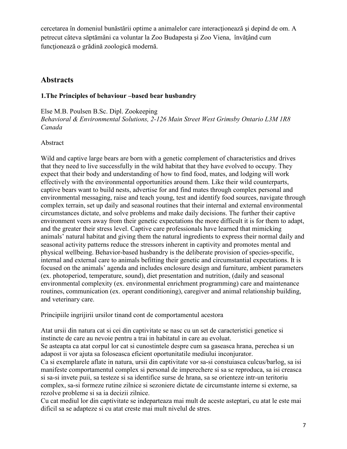cercetarea în domeniul bunăstării optime a animalelor care interacţionează şi depind de om. A petrecut câteva săptămâni ca voluntar la Zoo Budapesta şi Zoo Viena, învăţând cum funcţionează o grădină zoologică modernă.

# **Abstracts**

### **1.The Principles of behaviour –based bear husbandry**

Else M.B. Poulsen B.Sc. Dipl. Zookeeping *Behavioral & Environmental Solutions, 2-126 Main Street West Grimsby Ontario L3M 1R8 Canada*

### Abstract

Wild and captive large bears are born with a genetic complement of characteristics and drives that they need to live successfully in the wild habitat that they have evolved to occupy. They expect that their body and understanding of how to find food, mates, and lodging will work effectively with the environmental opportunities around them. Like their wild counterparts, captive bears want to build nests, advertise for and find mates through complex personal and environmental messaging, raise and teach young, test and identify food sources, navigate through complex terrain, set up daily and seasonal routines that their internal and external environmental circumstances dictate, and solve problems and make daily decisions. The further their captive environment veers away from their genetic expectations the more difficult it is for them to adapt, and the greater their stress level. Captive care professionals have learned that mimicking animals' natural habitat and giving them the natural ingredients to express their normal daily and seasonal activity patterns reduce the stressors inherent in captivity and promotes mental and physical wellbeing. Behavior-based husbandry is the deliberate provision of species-specific, internal and external care to animals befitting their genetic and circumstantial expectations. It is focused on the animals' agenda and includes enclosure design and furniture, ambient parameters (ex. photoperiod, temperature, sound), diet presentation and nutrition, (daily and seasonal environmental complexity (ex. environmental enrichment programming) care and maintenance routines, communication (ex. operant conditioning), caregiver and animal relationship building, and veterinary care.

Principiile ingrijirii ursilor tinand cont de comportamentul acestora

Atat ursii din natura cat si cei din captivitate se nasc cu un set de caracteristici genetice si instincte de care au nevoie pentru a trai in habitatul in care au evoluat.

Se asteapta ca atat corpul lor cat si cunostintele despre cum sa gaseasca hrana, perechea si un adapost ii vor ajuta sa foloseasca eficient oportunitatile mediului inconjurator.

Ca si exemplarele aflate in natura, ursii din captivitate vor sa-si constuiasca culcus/barlog, sa isi manifeste comportamentul complex si personal de imperechere si sa se reproduca, sa isi creasca si sa-si invete puii, sa testeze si sa identifice surse de hrana, sa se orienteze intr-un teritoriu complex, sa-si formeze rutine zilnice si sezoniere dictate de circumstante interne si externe, sa rezolve probleme si sa ia decizii zilnice.

Cu cat mediul lor din captivitate se indeparteaza mai mult de aceste asteptari, cu atat le este mai dificil sa se adapteze si cu atat creste mai mult nivelul de stres.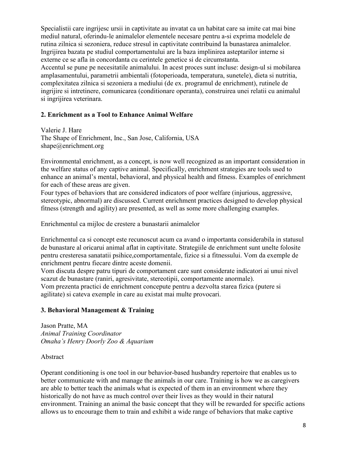Specialistii care ingrijesc ursii in captivitate au invatat ca un habitat care sa imite cat mai bine mediul natural, oferindu-le animalelor elementele necesare pentru a-si exprima modelele de rutina zilnica si sezoniera, reduce stresul in captivitate contribuind la bunastarea animalelor. Ingrijirea bazata pe studiul comportamentului are la baza implinirea asteptarilor interne si externe ce se afla in concordanta cu cerintele genetice si de circumstanta. Accentul se pune pe necesitatile animalului. In acest proces sunt incluse: design-ul si mobilarea amplasamentului, parametrii ambientali (fotoperioada, temperatura, sunetele), dieta si nutritia, complexitatea zilnica si sezoniera a mediului (de ex. programul de enrichment), rutinele de ingrijire si intretinere, comunicarea (conditionare operanta), construirea unei relatii cu animalul si ingrijirea veterinara.

#### **2. Enrichment as a Tool to Enhance Animal Welfare**

Valerie J. Hare The Shape of Enrichment, Inc., San Jose, California, USA shape@enrichment.org

Environmental enrichment, as a concept, is now well recognized as an important consideration in the welfare status of any captive animal. Specifically, enrichment strategies are tools used to enhance an animal's mental, behavioral, and physical health and fitness. Examples of enrichment for each of these areas are given.

Four types of behaviors that are considered indicators of poor welfare (injurious, aggressive, stereotypic, abnormal) are discussed. Current enrichment practices designed to develop physical fitness (strength and agility) are presented, as well as some more challenging examples.

Enrichmentul ca mijloc de crestere a bunastarii animalelor

Enrichmentul ca si concept este recunoscut acum ca avand o importanta considerabila in statusul de bunastare al oricarui animal aflat in captivitate. Strategiile de enrichment sunt unelte folosite pentru cresteresa sanatatii psihice,comportamentale, fizice si a fitnessului. Vom da exemple de enrichment pentru fiecare dintre aceste domenii.

Vom discuta despre patru tipuri de comportament care sunt considerate indicatori ai unui nivel scazut de bunastare (raniri, agresivitate, stereotipii, comportamente anormale).

Vom prezenta practici de enrichment concepute pentru a dezvolta starea fizica (putere si agilitate) si cateva exemple in care au existat mai multe provocari.

### **3. Behavioral Management & Training**

Jason Pratte, MA *Animal Training Coordinator Omaha's Henry Doorly Zoo & Aquarium*

Abstract

Operant conditioning is one tool in our behavior-based husbandry repertoire that enables us to better communicate with and manage the animals in our care. Training is how we as caregivers are able to better teach the animals what is expected of them in an environment where they historically do not have as much control over their lives as they would in their natural environment. Training an animal the basic concept that they will be rewarded for specific actions allows us to encourage them to train and exhibit a wide range of behaviors that make captive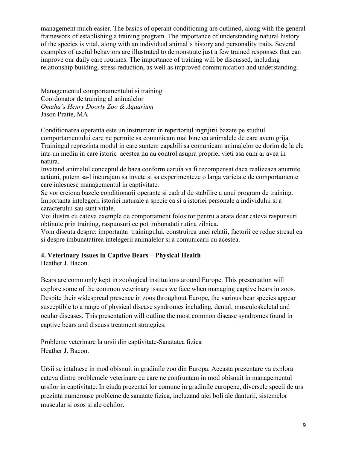management much easier. The basics of operant conditioning are outlined, along with the general framework of establishing a training program. The importance of understanding natural history of the species is vital, along with an individual animal's history and personality traits. Several examples of useful behaviors are illustrated to demonstrate just a few trained responses that can improve our daily care routines. The importance of training will be discussed, including relationship building, stress reduction, as well as improved communication and understanding.

Managementul comportamentului si training Coordonator de training al animalelor *Omaha's Henry Doorly Zoo & Aquarium* Jason Pratte, MA

Conditionarea operanta este un instrument in repertoriul ingrijirii bazate pe studiul comportamentului care ne permite sa comunicam mai bine cu animalele de care avem grija. Trainingul reprezinta modul in care suntem capabili sa comunicam animalelor ce dorim de la ele intr-un mediu in care istoric acestea nu au control asupra propriei vieti asa cum ar avea in natura.

Invatand animalul conceptul de baza conform caruia va fi recompensat daca realizeaza anumite actiuni, putem sa-l incurajam sa invete si sa experimenteze o larga varietate de comportamente care inlesnesc managementul in captivitate.

Se vor creiona bazele conditionarii operante si cadrul de stabilire a unui program de training. Importanta intelegerii istoriei naturale a specie ca si a istoriei personale a individului si a caracterului sau sunt vitale.

Voi ilustra cu cateva exemple de comportament folositor pentru a arata doar cateva raspunsuri obtinute prin training, raspunsuri ce pot imbunatati rutina zilnica.

Vom discuta despre: importanta trainingului, construirea unei relatii, factorii ce reduc stresul ca si despre imbunatatirea intelegerii animalelor si a comunicarii cu acestea.

## **4. Veterinary Issues in Captive Bears – Physical Health**

Heather J. Bacon.

Bears are commonly kept in zoological institutions around Europe. This presentation will explore some of the common veterinary issues we face when managing captive bears in zoos. Despite their widespread presence in zoos throughout Europe, the various bear species appear susceptible to a range of physical disease syndromes including, dental, musculoskeletal and ocular diseases. This presentation will outline the most common disease syndromes found in captive bears and discuss treatment strategies.

Probleme veterinare la ursii din captivitate-Sanatatea fizica Heather J. Bacon.

Ursii se intalnesc in mod obisnuit in gradinile zoo din Europa. Aceasta prezentare va explora cateva dintre problemele veterinare cu care ne confruntam in mod obisnuit in managementul ursilor in captivitate. In ciuda prezentei lor comune in gradinile europene, diversele specii de urs prezinta numeroase probleme de sanatate fizica, incluzand aici boli ale danturii, sistemelor muscular si osos si ale ochilor.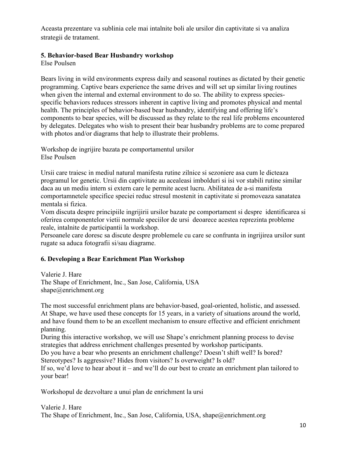Aceasta prezentare va sublinia cele mai intalnite boli ale ursilor din captivitate si va analiza strategii de tratament.

### **5. Behavior-based Bear Husbandry workshop**

Else Poulsen

Bears living in wild environments express daily and seasonal routines as dictated by their genetic programming. Captive bears experience the same drives and will set up similar living routines when given the internal and external environment to do so. The ability to express speciesspecific behaviors reduces stressors inherent in captive living and promotes physical and mental health. The principles of behavior-based bear husbandry, identifying and offering life's components to bear species, will be discussed as they relate to the real life problems encountered by delegates. Delegates who wish to present their bear husbandry problems are to come prepared with photos and/or diagrams that help to illustrate their problems.

Workshop de ingrijire bazata pe comportamentul ursilor Else Poulsen

Ursii care traiesc in mediul natural manifesta rutine zilnice si sezoniere asa cum le dicteaza programul lor genetic. Ursii din captivitate au acealeasi imbolduri si isi vor stabili rutine similar daca au un mediu intern si extern care le permite acest lucru. Abilitatea de a-si manifesta comportamnetele specifice speciei reduc stresul mostenit in captivitate si promoveaza sanatatea mentala si fizica.

Vom discuta despre principiile ingrijirii ursilor bazate pe comportament si despre identificarea si oferirea componentelor vietii normale speciilor de ursi deoarece acestea reprezinta probleme reale, intalnite de participantii la workshop.

Persoanele care doresc sa discute despre problemele cu care se confrunta in ingrijirea ursilor sunt rugate sa aduca fotografii si/sau diagrame.

## **6. Developing a Bear Enrichment Plan Workshop**

Valerie J. Hare The Shape of Enrichment, Inc., San Jose, California, USA shape@enrichment.org

The most successful enrichment plans are behavior-based, goal-oriented, holistic, and assessed. At Shape, we have used these concepts for 15 years, in a variety of situations around the world, and have found them to be an excellent mechanism to ensure effective and efficient enrichment planning.

During this interactive workshop, we will use Shape's enrichment planning process to devise strategies that address enrichment challenges presented by workshop participants.

Do you have a bear who presents an enrichment challenge? Doesn't shift well? Is bored? Stereotypes? Is aggressive? Hides from visitors? Is overweight? Is old?

If so, we'd love to hear about it – and we'll do our best to create an enrichment plan tailored to your bear!

Workshopul de dezvoltare a unui plan de enrichment la ursi

Valerie J. Hare The Shape of Enrichment, Inc., San Jose, California, USA, shape@enrichment.org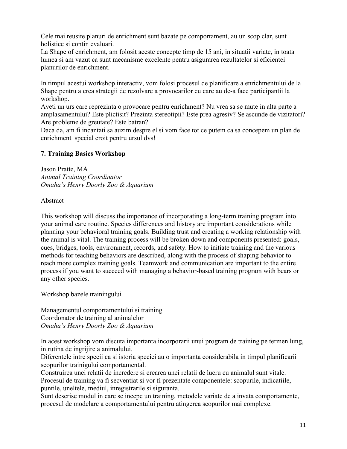Cele mai reusite planuri de enrichment sunt bazate pe comportament, au un scop clar, sunt holistice si contin evaluari.

La Shape of enrichment, am folosit aceste concepte timp de 15 ani, in situatii variate, in toata lumea si am vazut ca sunt mecanisme excelente pentru asigurarea rezultatelor si eficientei planurilor de enrichment.

In timpul acestui workshop interactiv, vom folosi procesul de planificare a enrichmentului de la Shape pentru a crea strategii de rezolvare a provocarilor cu care au de-a face participantii la workshop.

Aveti un urs care reprezinta o provocare pentru enrichment? Nu vrea sa se mute in alta parte a amplasamentului? Este plictisit? Prezinta stereotipii? Este prea agresiv? Se ascunde de vizitatori? Are probleme de greutate? Este batran?

Daca da, am fi incantati sa auzim despre el si vom face tot ce putem ca sa concepem un plan de enrichment special croit pentru ursul dvs!

### **7. Training Basics Workshop**

Jason Pratte, MA *Animal Training Coordinator Omaha's Henry Doorly Zoo & Aquarium*

### Abstract

This workshop will discuss the importance of incorporating a long-term training program into your animal care routine. Species differences and history are important considerations while planning your behavioral training goals. Building trust and creating a working relationship with the animal is vital. The training process will be broken down and components presented: goals, cues, bridges, tools, environment, records, and safety. How to initiate training and the various methods for teaching behaviors are described, along with the process of shaping behavior to reach more complex training goals. Teamwork and communication are important to the entire process if you want to succeed with managing a behavior-based training program with bears or any other species.

Workshop bazele trainingului

Managementul comportamentului si training Coordonator de training al animalelor *Omaha's Henry Doorly Zoo & Aquarium*

In acest workshop vom discuta importanta incorporarii unui program de training pe termen lung, in rutina de ingrijire a animalului.

Diferentele intre specii ca si istoria speciei au o importanta considerabila in timpul planificarii scopurilor trainigului comportamental.

Construirea unei relatii de incredere si crearea unei relatii de lucru cu animalul sunt vitale. Procesul de training va fi secventiat si vor fi prezentate componentele: scopurile, indicatiile, puntile, uneltele, mediul, inregistrarile si siguranta.

Sunt descrise modul in care se incepe un training, metodele variate de a invata comportamente, procesul de modelare a comportamentului pentru atingerea scopurilor mai complexe.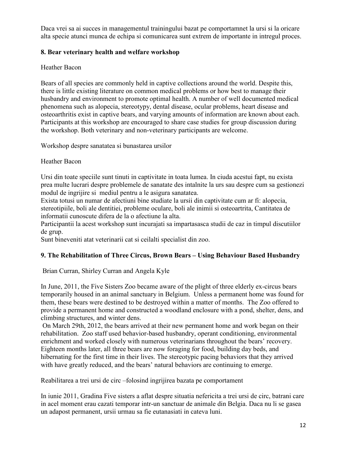Daca vrei sa ai succes in managementul trainingului bazat pe comportamnet la ursi si la oricare alta specie atunci munca de echipa si comunicarea sunt extrem de importante in intregul proces.

### **8. Bear veterinary health and welfare workshop**

### Heather Bacon

Bears of all species are commonly held in captive collections around the world. Despite this, there is little existing literature on common medical problems or how best to manage their husbandry and environment to promote optimal health. A number of well documented medical phenomena such as alopecia, stereotypy, dental disease, ocular problems, heart disease and osteoarthritis exist in captive bears, and varying amounts of information are known about each. Participants at this workshop are encouraged to share case studies for group discussion during the workshop. Both veterinary and non-veterinary participants are welcome.

Workshop despre sanatatea si bunastarea ursilor

### Heather Bacon

Ursi din toate speciile sunt tinuti in captivitate in toata lumea. In ciuda acestui fapt, nu exista prea multe lucrari despre problemele de sanatate des intalnite la urs sau despre cum sa gestionezi modul de ingrijire si mediul pentru a le asigura sanatatea.

Exista totusi un numar de afectiuni bine studiate la ursii din captivitate cum ar fi: alopecia, stereotipiile, boli ale dentitiei, probleme oculare, boli ale inimii si osteoartrita, Cantitatea de informatii cunoscute difera de la o afectiune la alta.

Participantii la acest workshop sunt incurajati sa impartasasca studii de caz in timpul discutiilor de grup.

Sunt bineveniti atat veterinarii cat si ceilalti specialist din zoo.

## **9. The Rehabilitation of Three Circus, Brown Bears – Using Behaviour Based Husbandry**

### Brian Curran, Shirley Curran and Angela Kyle

In June, 2011, the Five Sisters Zoo became aware of the plight of three elderly ex-circus bears temporarily housed in an animal sanctuary in Belgium. Unless a permanent home was found for them, these bears were destined to be destroyed within a matter of months. The Zoo offered to provide a permanent home and constructed a woodland enclosure with a pond, shelter, dens, and climbing structures, and winter dens.

On March 29th, 2012, the bears arrived at their new permanent home and work began on their rehabilitation. Zoo staff used behavior-based husbandry, operant conditioning, environmental enrichment and worked closely with numerous veterinarians throughout the bears' recovery. Eighteen months later, all three bears are now foraging for food, building day beds, and hibernating for the first time in their lives. The stereotypic pacing behaviors that they arrived with have greatly reduced, and the bears' natural behaviors are continuing to emerge.

Reabilitarea a trei ursi de circ –folosind ingrijirea bazata pe comportament

In iunie 2011, Gradina Five sisters a aflat despre situatia nefericita a trei ursi de circ, batrani care in acel moment erau cazati temporar intr-un sanctuar de animale din Belgia. Daca nu li se gasea un adapost permanent, ursii urmau sa fie eutanasiati in cateva luni.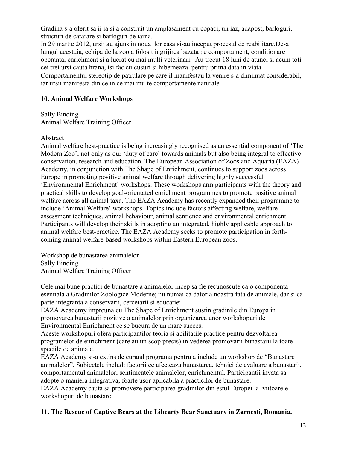Gradina s-a oferit sa ii ia si a construit un amplasament cu copaci, un iaz, adapost, barloguri, structuri de catarare si barloguri de iarna.

In 29 martie 2012, ursii au ajuns in noua lor casa si-au inceput procesul de reabilitare.De-a lungul acestuia, echipa de la zoo a folosit ingrijirea bazata pe comportament, conditionare operanta, enrichment si a lucrat cu mai multi veterinari. Au trecut 18 luni de atunci si acum toti cei trei ursi cauta hrana, isi fac culcusuri si hiberneaza pentru prima data in viata. Comportamentul stereotip de patrulare pe care il manifestau la venire s-a diminuat considerabil, iar ursii manifesta din ce in ce mai multe comportamente naturale.

### **10. Animal Welfare Workshops**

Sally Binding Animal Welfare Training Officer

Abstract

Animal welfare best-practice is being increasingly recognised as an essential component of 'The Modern Zoo'; not only as our 'duty of care' towards animals but also being integral to effective conservation, research and education. The European Association of Zoos and Aquaria (EAZA) Academy, in conjunction with The Shape of Enrichment, continues to support zoos across Europe in promoting positive animal welfare through delivering highly successful 'Environmental Enrichment' workshops. These workshops arm participants with the theory and practical skills to develop goal-orientated enrichment programmes to promote positive animal welfare across all animal taxa. The EAZA Academy has recently expanded their programme to include 'Animal Welfare' workshops. Topics include factors affecting welfare, welfare assessment techniques, animal behaviour, animal sentience and environmental enrichment. Participants will develop their skills in adopting an integrated, highly applicable approach to animal welfare best-practice. The EAZA Academy seeks to promote participation in forthcoming animal welfare-based workshops within Eastern European zoos.

Workshop de bunastarea animalelor Sally Binding Animal Welfare Training Officer

Cele mai bune practici de bunastare a animalelor incep sa fie recunoscute ca o componenta esentiala a Gradinilor Zoologice Moderne; nu numai ca datoria noastra fata de animale, dar si ca parte integranta a conservarii, cercetarii si educatiei.

EAZA Academy impreuna cu The Shape of Enrichment sustin gradinile din Europa in promovarea bunastarii pozitive a animalelor prin organizarea unor workshopuri de Environmental Enrichment ce se bucura de un mare succes.

Aceste workshopuri ofera participantilor teoria si abilitatile practice pentru dezvoltarea programelor de enrichment (care au un scop precis) in vederea promovarii bunastarii la toate speciile de animale.

EAZA Academy si-a extins de curand programa pentru a include un workshop de "Bunastare animalelor". Subiectele includ: factorii ce afecteaza bunastarea, tehnici de evaluare a bunastarii, comportamentul animalelor, sentimentele animalelor, enrichmentul. Participantii invata sa adopte o maniera integrativa, foarte usor aplicabila a practicilor de bunastare.

EAZA Academy cauta sa promoveze participarea gradinilor din estul Europei la viitoarele workshopuri de bunastare.

## **11. The Rescue of Captive Bears at the Libearty Bear Sanctuary in Zarnesti, Romania.**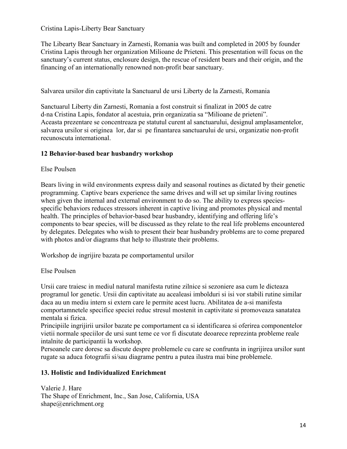Cristina Lapis-Liberty Bear Sanctuary

The Libearty Bear Sanctuary in Zarnesti, Romania was built and completed in 2005 by founder Cristina Lapis through her organization Milioane de Prieteni. This presentation will focus on the sanctuary's current status, enclosure design, the rescue of resident bears and their origin, and the financing of an internationally renowned non-profit bear sanctuary.

Salvarea ursilor din captivitate la Sanctuarul de ursi Liberty de la Zarnesti, Romania

Sanctuarul Liberty din Zarnesti, Romania a fost construit si finalizat in 2005 de catre d-na Cristina Lapis, fondator al acestuia, prin organizatia sa "Milioane de prieteni". Aceasta prezentare se concentreaza pe statutul curent al sanctuarului, designul amplasamentelor, salvarea ursilor si originea lor, dar si pe finantarea sanctuarului de ursi, organizatie non-profit recunoscuta international.

## **12 Behavior-based bear husbandry workshop**

### Else Poulsen

Bears living in wild environments express daily and seasonal routines as dictated by their genetic programming. Captive bears experience the same drives and will set up similar living routines when given the internal and external environment to do so. The ability to express speciesspecific behaviors reduces stressors inherent in captive living and promotes physical and mental health. The principles of behavior-based bear husbandry, identifying and offering life's components to bear species, will be discussed as they relate to the real life problems encountered by delegates. Delegates who wish to present their bear husbandry problems are to come prepared with photos and/or diagrams that help to illustrate their problems.

Workshop de ingrijire bazata pe comportamentul ursilor

Else Poulsen

Ursii care traiesc in mediul natural manifesta rutine zilnice si sezoniere asa cum le dicteaza programul lor genetic. Ursii din captivitate au acealeasi imbolduri si isi vor stabili rutine similar daca au un mediu intern si extern care le permite acest lucru. Abilitatea de a-si manifesta comportamnetele specifice speciei reduc stresul mostenit in captivitate si promoveaza sanatatea mentala si fizica.

Principiile ingrijirii ursilor bazate pe comportament ca si identificarea si oferirea componentelor vietii normale speciilor de ursi sunt teme ce vor fi discutate deoarece reprezinta probleme reale intalnite de participantii la workshop.

Persoanele care doresc sa discute despre problemele cu care se confrunta in ingrijirea ursilor sunt rugate sa aduca fotografii si/sau diagrame pentru a putea ilustra mai bine problemele.

## **13. Holistic and Individualized Enrichment**

Valerie J. Hare The Shape of Enrichment, Inc., San Jose, California, USA shape@enrichment.org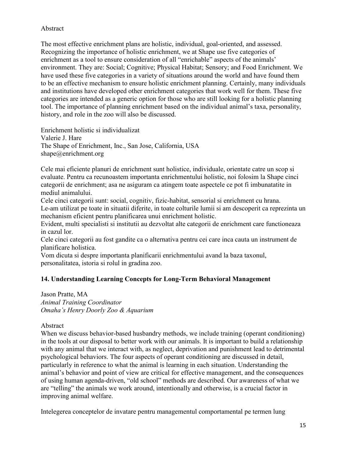### Abstract

The most effective enrichment plans are holistic, individual, goal-oriented, and assessed. Recognizing the importance of holistic enrichment, we at Shape use five categories of enrichment as a tool to ensure consideration of all "enrichable" aspects of the animals' environment. They are: Social; Cognitive; Physical Habitat; Sensory; and Food Enrichment. We have used these five categories in a variety of situations around the world and have found them to be an effective mechanism to ensure holistic enrichment planning. Certainly, many individuals and institutions have developed other enrichment categories that work well for them. These five categories are intended as a generic option for those who are still looking for a holistic planning tool. The importance of planning enrichment based on the individual animal's taxa, personality, history, and role in the zoo will also be discussed.

Enrichment holistic si individualizat Valerie J. Hare The Shape of Enrichment, Inc., San Jose, California, USA shape@enrichment.org

Cele mai eficiente planuri de enrichment sunt holistice, individuale, orientate catre un scop si evaluate. Pentru ca recunoastem importanta enrichmentului holistic, noi folosim la Shape cinci categorii de enrichment; asa ne asiguram ca atingem toate aspectele ce pot fi imbunatatite in mediul animalului.

Cele cinci categorii sunt: social, cognitiv, fizic-habitat, sensorial si enrichment cu hrana. Le-am utilizat pe toate in situatii diferite, in toate colturile lumii si am descoperit ca reprezinta un mechanism eficient pentru planificarea unui enrichment holistic.

Evident, multi specialisti si institutii au dezvoltat alte categorii de enrichment care functioneaza in cazul lor.

Cele cinci categorii au fost gandite ca o alternativa pentru cei care inca cauta un instrument de planificare holistica.

Vom dicuta si despre importanta planificarii enrichmentului avand la baza taxonul, personalitatea, istoria si rolul in gradina zoo.

### **14. Understanding Learning Concepts for Long-Term Behavioral Management**

Jason Pratte, MA *Animal Training Coordinator Omaha's Henry Doorly Zoo & Aquarium*

#### Abstract

When we discuss behavior-based husbandry methods, we include training (operant conditioning) in the tools at our disposal to better work with our animals. It is important to build a relationship with any animal that we interact with, as neglect, deprivation and punishment lead to detrimental psychological behaviors. The four aspects of operant conditioning are discussed in detail, particularly in reference to what the animal is learning in each situation. Understanding the animal's behavior and point of view are critical for effective management, and the consequences of using human agenda-driven, "old school" methods are described. Our awareness of what we are "telling" the animals we work around, intentionally and otherwise, is a crucial factor in improving animal welfare.

Intelegerea conceptelor de invatare pentru managementul comportamental pe termen lung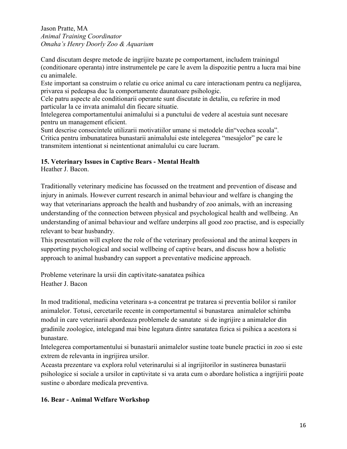Jason Pratte, MA *Animal Training Coordinator Omaha's Henry Doorly Zoo & Aquarium*

Cand discutam despre metode de ingrijire bazate pe comportament, includem trainingul (conditionare operanta) intre instrumentele pe care le avem la dispozitie pentru a lucra mai bine cu animalele.

Este important sa construim o relatie cu orice animal cu care interactionam pentru ca neglijarea, privarea si pedeapsa duc la comportamente daunatoare psihologic.

Cele patru aspecte ale conditionarii operante sunt discutate in detaliu, cu referire in mod particular la ce invata animalul din fiecare situatie.

Intelegerea comportamentului animalului si a punctului de vedere al acestuia sunt necesare pentru un management eficient.

Sunt descrise consecintele utilizarii motivatiilor umane si metodele din"vechea scoala". Critica pentru imbunatatirea bunastarii animalului este intelegerea "mesajelor" pe care le transmitem intentionat si neintentionat animalului cu care lucram.

### **15. Veterinary Issues in Captive Bears - Mental Health**

Heather J. Bacon.

Traditionally veterinary medicine has focussed on the treatment and prevention of disease and injury in animals. However current research in animal behaviour and welfare is changing the way that veterinarians approach the health and husbandry of zoo animals, with an increasing understanding of the connection between physical and psychological health and wellbeing. An understanding of animal behaviour and welfare underpins all good zoo practise, and is especially relevant to bear husbandry.

This presentation will explore the role of the veterinary professional and the animal keepers in supporting psychological and social wellbeing of captive bears, and discuss how a holistic approach to animal husbandry can support a preventative medicine approach.

Probleme veterinare la ursii din captivitate-sanatatea psihica Heather J. Bacon

In mod traditional, medicina veterinara s-a concentrat pe tratarea si preventia bolilor si ranilor animalelor. Totusi, cercetarile recente in comportamentul si bunastarea animalelor schimba modul in care veterinarii abordeaza problemele de sanatate si de ingrijire a animalelor din gradinile zoologice, intelegand mai bine legatura dintre sanatatea fizica si psihica a acestora si bunastare.

Intelegerea comportamentului si bunastarii animalelor sustine toate bunele practici in zoo si este extrem de relevanta in ingrijirea ursilor.

Aceasta prezentare va explora rolul veterinarului si al ingrijitorilor in sustinerea bunastarii psihologice si sociale a ursilor in captivitate si va arata cum o abordare holistica a ingrijirii poate sustine o abordare medicala preventiva.

## **16. Bear - Animal Welfare Workshop**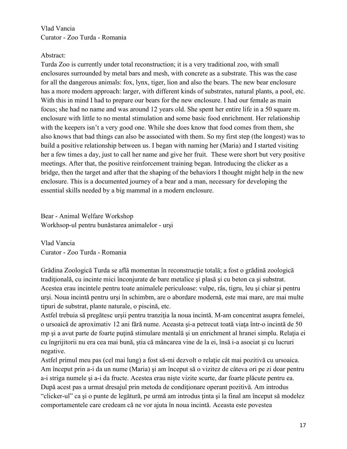Vlad Vancia Curator - Zoo Turda - Romania

#### Abstract:

Turda Zoo is currently under total reconstruction; it is a very traditional zoo, with small enclosures surrounded by metal bars and mesh, with concrete as a substrate. This was the case for all the dangerous animals: fox, lynx, tiger, lion and also the bears. The new bear enclosure has a more modern approach: larger, with different kinds of substrates, natural plants, a pool, etc. With this in mind I had to prepare our bears for the new enclosure. I had our female as main focus; she had no name and was around 12 years old. She spent her entire life in a 50 square m. enclosure with little to no mental stimulation and some basic food enrichment. Her relationship with the keepers isn't a very good one. While she does know that food comes from them, she also knows that bad things can also be associated with them. So my first step (the longest) was to build a positive relationship between us. I began with naming her (Maria) and I started visiting her a few times a day, just to call her name and give her fruit. These were short but very positive meetings. After that, the positive reinforcement training began. Introducing the clicker as a bridge, then the target and after that the shaping of the behaviors I thought might help in the new enclosure. This is a documented journey of a bear and a man, necessary for developing the essential skills needed by a big mammal in a modern enclosure.

Bear - Animal Welfare Workshop Workhsop-ul pentru bunăstarea animalelor - urşi

Vlad Vancia Curator - Zoo Turda - Romania

Grădina Zoologică Turda se află momentan în reconstrucţie totală; a fost o grădină zoologică tradiţională, cu incinte mici înconjurate de bare metalice şi plasă şi cu beton ca şi substrat. Acestea erau incintele pentru toate animalele periculoase: vulpe, râs, tigru, leu şi chiar şi pentru urşi. Noua incintă pentru urşi în schimbm, are o abordare modernă, este mai mare, are mai multe tipuri de substrat, plante naturale, o piscină, etc.

Astfel trebuia să pregătesc urşii pentru tranziţia la noua incintă. M-am concentrat asupra femelei, o ursoaică de aproximativ 12 ani fără nume. Aceasta şi-a petrecut toată viaţa într-o incintă de 50 mp şi a avut parte de foarte puţină stimulare mentală şi un enrichment al hranei simplu. Relaţia ei cu îngrijitorii nu era cea mai bună, ştia că mâncarea vine de la ei, însă i-a asociat şi cu lucruri negative.

Astfel primul meu pas (cel mai lung) a fost să-mi dezvolt o relaţie cât mai pozitivă cu ursoaica. Am început prin a-i da un nume (Maria) şi am început să o vizitez de câteva ori pe zi doar pentru a-i striga numele şi a-i da fructe. Acestea erau nişte vizite scurte, dar foarte plăcute pentru ea. După acest pas a urmat dresajul prin metoda de condiţionare operant pozitivă. Am introdus "clicker-ul" ca şi o punte de legătură, pe urmă am introdus ţinta şi la final am început să modelez comportamentele care credeam că ne vor ajuta în noua incintă. Aceasta este povestea